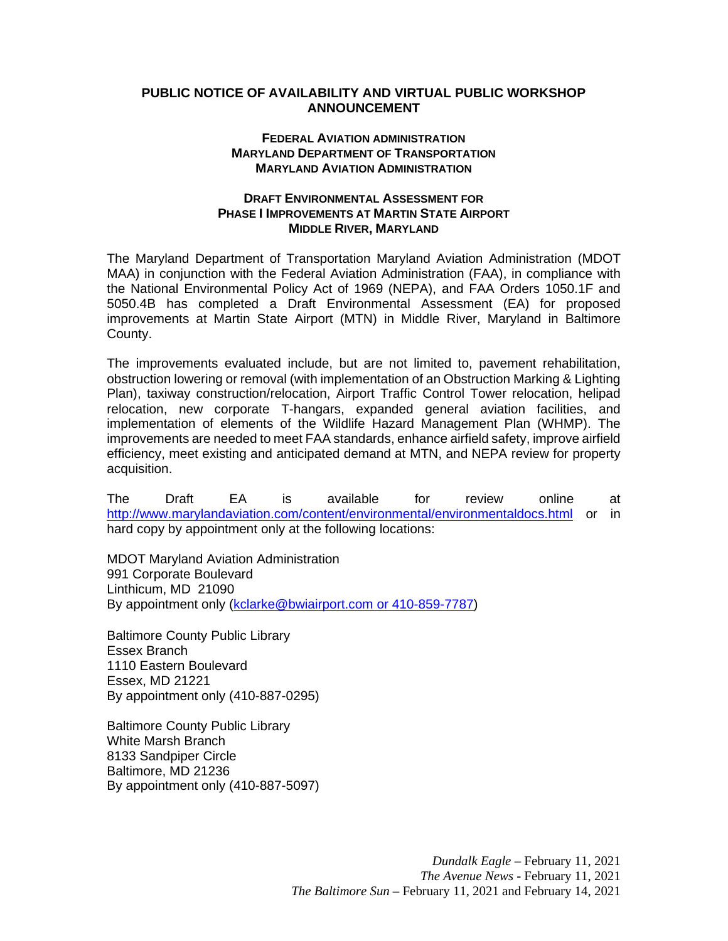## **PUBLIC NOTICE OF AVAILABILITY AND VIRTUAL PUBLIC WORKSHOP ANNOUNCEMENT**

## **FEDERAL AVIATION ADMINISTRATION MARYLAND DEPARTMENT OF TRANSPORTATION MARYLAND AVIATION ADMINISTRATION**

## **DRAFT ENVIRONMENTAL ASSESSMENT FOR PHASE I IMPROVEMENTS AT MARTIN STATE AIRPORT MIDDLE RIVER, MARYLAND**

The Maryland Department of Transportation Maryland Aviation Administration (MDOT MAA) in conjunction with the Federal Aviation Administration (FAA), in compliance with the National Environmental Policy Act of 1969 (NEPA), and FAA Orders 1050.1F and 5050.4B has completed a Draft Environmental Assessment (EA) for proposed improvements at Martin State Airport (MTN) in Middle River, Maryland in Baltimore County.

The improvements evaluated include, but are not limited to, pavement rehabilitation, obstruction lowering or removal (with implementation of an Obstruction Marking & Lighting Plan), taxiway construction/relocation, Airport Traffic Control Tower relocation, helipad relocation, new corporate T-hangars, expanded general aviation facilities, and implementation of elements of the Wildlife Hazard Management Plan (WHMP). The improvements are needed to meet FAA standards, enhance airfield safety, improve airfield efficiency, meet existing and anticipated demand at MTN, and NEPA review for property acquisition.

The Draft EA is available for review online at <http://www.marylandaviation.com/content/environmental/environmentaldocs.html> or in hard copy by appointment only at the following locations:

MDOT Maryland Aviation Administration 991 Corporate Boulevard Linthicum, MD 21090 By appointment only [\(kclarke@bwiairport.com](mailto:kclarke@bwiairport.com) or 410-859-7787)

Baltimore County Public Library Essex Branch 1110 Eastern Boulevard Essex, MD 21221 By appointment only (410-887-0295)

Baltimore County Public Library White Marsh Branch 8133 Sandpiper Circle Baltimore, MD 21236 By appointment only (410-887-5097)